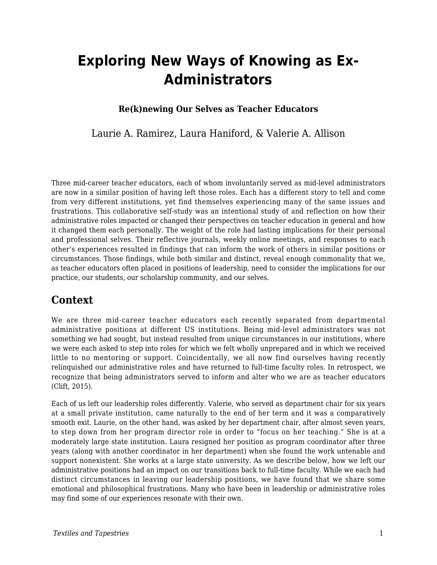# **Exploring New Ways of Knowing as Ex-Administrators**

#### **Re(k)newing Our Selves as Teacher Educators**

### Laurie A. Ramirez, Laura Haniford, & Valerie A. Allison

Three mid-career teacher educators, each of whom involuntarily served as mid-level administrators are now in a similar position of having left those roles. Each has a different story to tell and come from very different institutions, yet find themselves experiencing many of the same issues and frustrations. This collaborative self-study was an intentional study of and reflection on how their administrative roles impacted or changed their perspectives on teacher education in general and how it changed them each personally. The weight of the role had lasting implications for their personal and professional selves. Their reflective journals, weekly online meetings, and responses to each other's experiences resulted in findings that can inform the work of others in similar positions or circumstances. Those findings, while both similar and distinct, reveal enough commonality that we, as teacher educators often placed in positions of leadership, need to consider the implications for our practice, our students, our scholarship community, and our selves.

### **Context**

We are three mid-career teacher educators each recently separated from departmental administrative positions at different US institutions. Being mid-level administrators was not something we had sought, but instead resulted from unique circumstances in our institutions, where we were each asked to step into roles for which we felt wholly unprepared and in which we received little to no mentoring or support. Coincidentally, we all now find ourselves having recently relinquished our administrative roles and have returned to full-time faculty roles. In retrospect, we recognize that being administrators served to inform and alter who we are as teacher educators (Clift, 2015).

Each of us left our leadership roles differently. Valerie, who served as department chair for six years at a small private institution, came naturally to the end of her term and it was a comparatively smooth exit. Laurie, on the other hand, was asked by her department chair, after almost seven years, to step down from her program director role in order to "focus on her teaching." She is at a moderately large state institution. Laura resigned her position as program coordinator after three years (along with another coordinator in her department) when she found the work untenable and support nonexistent. She works at a large state university. As we describe below, how we left our administrative positions had an impact on our transitions back to full-time faculty. While we each had distinct circumstances in leaving our leadership positions, we have found that we share some emotional and philosophical frustrations. Many who have been in leadership or administrative roles may find some of our experiences resonate with their own.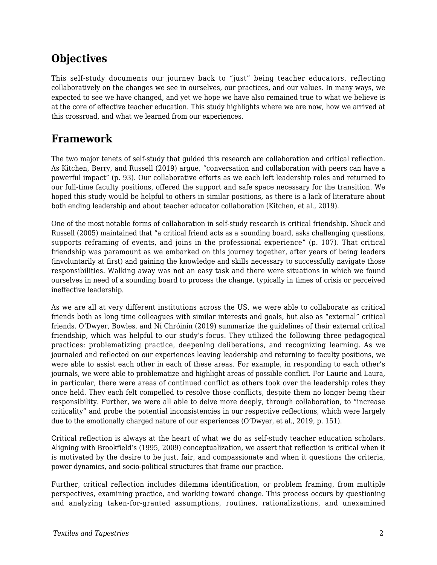# **Objectives**

This self-study documents our journey back to "just" being teacher educators, reflecting collaboratively on the changes we see in ourselves, our practices, and our values. In many ways, we expected to see we have changed, and yet we hope we have also remained true to what we believe is at the core of effective teacher education. This study highlights where we are now, how we arrived at this crossroad, and what we learned from our experiences.

# **Framework**

The two major tenets of self-study that guided this research are collaboration and critical reflection. As Kitchen, Berry, and Russell (2019) argue, "conversation and collaboration with peers can have a powerful impact" (p. 93). Our collaborative efforts as we each left leadership roles and returned to our full-time faculty positions, offered the support and safe space necessary for the transition. We hoped this study would be helpful to others in similar positions, as there is a lack of literature about both ending leadership and about teacher educator collaboration (Kitchen, et al., 2019).

One of the most notable forms of collaboration in self-study research is critical friendship. Shuck and Russell (2005) maintained that "a critical friend acts as a sounding board, asks challenging questions, supports reframing of events, and joins in the professional experience" (p. 107). That critical friendship was paramount as we embarked on this journey together, after years of being leaders (involuntarily at first) and gaining the knowledge and skills necessary to successfully navigate those responsibilities. Walking away was not an easy task and there were situations in which we found ourselves in need of a sounding board to process the change, typically in times of crisis or perceived ineffective leadership.

As we are all at very different institutions across the US, we were able to collaborate as critical friends both as long time colleagues with similar interests and goals, but also as "external" critical friends. O'Dwyer, Bowles, and Ní Chróinín (2019) summarize the guidelines of their external critical friendship, which was helpful to our study's focus. They utilized the following three pedagogical practices: problematizing practice, deepening deliberations, and recognizing learning. As we journaled and reflected on our experiences leaving leadership and returning to faculty positions, we were able to assist each other in each of these areas. For example, in responding to each other's journals, we were able to problematize and highlight areas of possible conflict. For Laurie and Laura, in particular, there were areas of continued conflict as others took over the leadership roles they once held. They each felt compelled to resolve those conflicts, despite them no longer being their responsibility. Further, we were all able to delve more deeply, through collaboration, to "increase criticality" and probe the potential inconsistencies in our respective reflections, which were largely due to the emotionally charged nature of our experiences (O'Dwyer, et al., 2019, p. 151).

Critical reflection is always at the heart of what we do as self-study teacher education scholars. Aligning with Brookfield's (1995, 2009) conceptualization, we assert that reflection is critical when it is motivated by the desire to be just, fair, and compassionate and when it questions the criteria, power dynamics, and socio-political structures that frame our practice.

Further, critical reflection includes dilemma identification, or problem framing, from multiple perspectives, examining practice, and working toward change. This process occurs by questioning and analyzing taken-for-granted assumptions, routines, rationalizations, and unexamined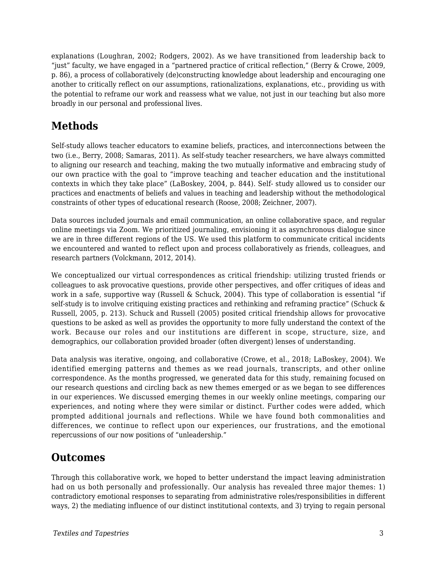explanations (Loughran, 2002; Rodgers, 2002). As we have transitioned from leadership back to "just" faculty, we have engaged in a "partnered practice of critical reflection," (Berry & Crowe, 2009, p. 86), a process of collaboratively (de)constructing knowledge about leadership and encouraging one another to critically reflect on our assumptions, rationalizations, explanations, etc., providing us with the potential to reframe our work and reassess what we value, not just in our teaching but also more broadly in our personal and professional lives.

# **Methods**

Self-study allows teacher educators to examine beliefs, practices, and interconnections between the two (i.e., Berry, 2008; Samaras, 2011). As self-study teacher researchers, we have always committed to aligning our research and teaching, making the two mutually informative and embracing study of our own practice with the goal to "improve teaching and teacher education and the institutional contexts in which they take place" (LaBoskey, 2004, p. 844). Self- study allowed us to consider our practices and enactments of beliefs and values in teaching and leadership without the methodological constraints of other types of educational research (Roose, 2008; Zeichner, 2007).

Data sources included journals and email communication, an online collaborative space, and regular online meetings via Zoom. We prioritized journaling, envisioning it as asynchronous dialogue since we are in three different regions of the US. We used this platform to communicate critical incidents we encountered and wanted to reflect upon and process collaboratively as friends, colleagues, and research partners (Volckmann, 2012, 2014).

We conceptualized our virtual correspondences as critical friendship: utilizing trusted friends or colleagues to ask provocative questions, provide other perspectives, and offer critiques of ideas and work in a safe, supportive way (Russell & Schuck, 2004). This type of collaboration is essential "if self-study is to involve critiquing existing practices and rethinking and reframing practice" (Schuck & Russell, 2005, p. 213). Schuck and Russell (2005) posited critical friendship allows for provocative questions to be asked as well as provides the opportunity to more fully understand the context of the work. Because our roles and our institutions are different in scope, structure, size, and demographics, our collaboration provided broader (often divergent) lenses of understanding.

Data analysis was iterative, ongoing, and collaborative (Crowe, et al., 2018; LaBoskey, 2004). We identified emerging patterns and themes as we read journals, transcripts, and other online correspondence. As the months progressed, we generated data for this study, remaining focused on our research questions and circling back as new themes emerged or as we began to see differences in our experiences. We discussed emerging themes in our weekly online meetings, comparing our experiences, and noting where they were similar or distinct. Further codes were added, which prompted additional journals and reflections. While we have found both commonalities and differences, we continue to reflect upon our experiences, our frustrations, and the emotional repercussions of our now positions of "unleadership."

### **Outcomes**

Through this collaborative work, we hoped to better understand the impact leaving administration had on us both personally and professionally. Our analysis has revealed three major themes: 1) contradictory emotional responses to separating from administrative roles/responsibilities in different ways, 2) the mediating influence of our distinct institutional contexts, and 3) trying to regain personal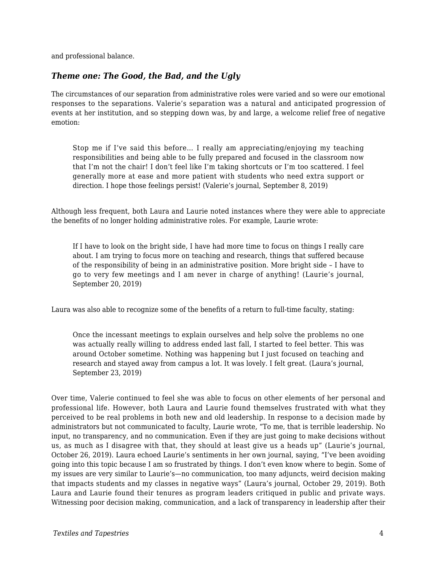and professional balance.

#### *Theme one: The Good, the Bad, and the Ugly*

The circumstances of our separation from administrative roles were varied and so were our emotional responses to the separations. Valerie's separation was a natural and anticipated progression of events at her institution, and so stepping down was, by and large, a welcome relief free of negative emotion:

Stop me if I've said this before… I really am appreciating/enjoying my teaching responsibilities and being able to be fully prepared and focused in the classroom now that I'm not the chair! I don't feel like I'm taking shortcuts or I'm too scattered. I feel generally more at ease and more patient with students who need extra support or direction. I hope those feelings persist! (Valerie's journal, September 8, 2019)

Although less frequent, both Laura and Laurie noted instances where they were able to appreciate the benefits of no longer holding administrative roles. For example, Laurie wrote:

If I have to look on the bright side, I have had more time to focus on things I really care about. I am trying to focus more on teaching and research, things that suffered because of the responsibility of being in an administrative position. More bright side – I have to go to very few meetings and I am never in charge of anything! (Laurie's journal, September 20, 2019)

Laura was also able to recognize some of the benefits of a return to full-time faculty, stating:

Once the incessant meetings to explain ourselves and help solve the problems no one was actually really willing to address ended last fall, I started to feel better. This was around October sometime. Nothing was happening but I just focused on teaching and research and stayed away from campus a lot. It was lovely. I felt great. (Laura's journal, September 23, 2019)

Over time, Valerie continued to feel she was able to focus on other elements of her personal and professional life. However, both Laura and Laurie found themselves frustrated with what they perceived to be real problems in both new and old leadership. In response to a decision made by administrators but not communicated to faculty, Laurie wrote, "To me, that is terrible leadership. No input, no transparency, and no communication. Even if they are just going to make decisions without us, as much as I disagree with that, they should at least give us a heads up" (Laurie's journal, October 26, 2019). Laura echoed Laurie's sentiments in her own journal, saying, "I've been avoiding going into this topic because I am so frustrated by things. I don't even know where to begin. Some of my issues are very similar to Laurie's—no communication, too many adjuncts, weird decision making that impacts students and my classes in negative ways" (Laura's journal, October 29, 2019). Both Laura and Laurie found their tenures as program leaders critiqued in public and private ways. Witnessing poor decision making, communication, and a lack of transparency in leadership after their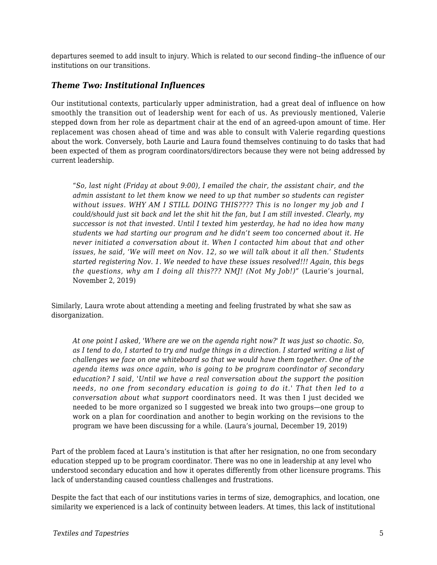departures seemed to add insult to injury. Which is related to our second finding--the influence of our institutions on our transitions.

#### *Theme Two: Institutional Influences*

Our institutional contexts, particularly upper administration, had a great deal of influence on how smoothly the transition out of leadership went for each of us. As previously mentioned, Valerie stepped down from her role as department chair at the end of an agreed-upon amount of time. Her replacement was chosen ahead of time and was able to consult with Valerie regarding questions about the work. Conversely, both Laurie and Laura found themselves continuing to do tasks that had been expected of them as program coordinators/directors because they were not being addressed by current leadership.

"*So, last night (Friday at about 9:00), I emailed the chair, the assistant chair, and the admin assistant to let them know we need to up that number so students can register without issues. WHY AM I STILL DOING THIS???? This is no longer my job and I could/should just sit back and let the shit hit the fan, but I am still invested. Clearly, my successor is not that invested. Until I texted him yesterday, he had no idea how many students we had starting our program and he didn't seem too concerned about it. He never initiated a conversation about it. When I contacted him about that and other issues, he said, 'We will meet on Nov. 12, so we will talk about it all then.' Students started registering Nov. 1. We needed to have these issues resolved!!! Again, this begs the questions, why am I doing all this??? NMJ! (Not My Job!)"* (Laurie's journal, November 2, 2019)

Similarly, Laura wrote about attending a meeting and feeling frustrated by what she saw as disorganization.

*At one point I asked, 'Where are we on the agenda right now?' It was just so chaotic. So, as I tend to do, I started to try and nudge things in a direction. I started writing a list of challenges we face on one whiteboard so that we would have them together. One of the agenda items was once again, who is going to be program coordinator of secondary education? I said, 'Until we have a real conversation about the support the position needs, no one from secondary education is going to do it.' That then led to a conversation about what support* coordinators need. It was then I just decided we needed to be more organized so I suggested we break into two groups—one group to work on a plan for coordination and another to begin working on the revisions to the program we have been discussing for a while. (Laura's journal, December 19, 2019)

Part of the problem faced at Laura's institution is that after her resignation, no one from secondary education stepped up to be program coordinator. There was no one in leadership at any level who understood secondary education and how it operates differently from other licensure programs. This lack of understanding caused countless challenges and frustrations.

Despite the fact that each of our institutions varies in terms of size, demographics, and location, one similarity we experienced is a lack of continuity between leaders. At times, this lack of institutional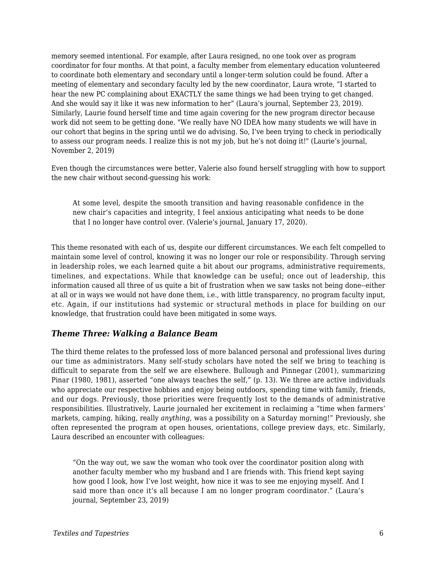memory seemed intentional. For example, after Laura resigned, no one took over as program coordinator for four months. At that point, a faculty member from elementary education volunteered to coordinate both elementary and secondary until a longer-term solution could be found. After a meeting of elementary and secondary faculty led by the new coordinator, Laura wrote, "I started to hear the new PC complaining about EXACTLY the same things we had been trying to get changed. And she would say it like it was new information to her" (Laura's journal, September 23, 2019). Similarly, Laurie found herself time and time again covering for the new program director because work did not seem to be getting done. "We really have NO IDEA how many students we will have in our cohort that begins in the spring until we do advising. So, I've been trying to check in periodically to assess our program needs. I realize this is not my job, but he's not doing it!" (Laurie's journal, November 2, 2019)

Even though the circumstances were better, Valerie also found herself struggling with how to support the new chair without second-guessing his work:

At some level, despite the smooth transition and having reasonable confidence in the new chair's capacities and integrity, I feel anxious anticipating what needs to be done that I no longer have control over. (Valerie's journal, January 17, 2020).

This theme resonated with each of us, despite our different circumstances. We each felt compelled to maintain some level of control, knowing it was no longer our role or responsibility. Through serving in leadership roles, we each learned quite a bit about our programs, administrative requirements, timelines, and expectations. While that knowledge can be useful; once out of leadership, this information caused all three of us quite a bit of frustration when we saw tasks not being done--either at all or in ways we would not have done them, i.e., with little transparency, no program faculty input, etc. Again, if our institutions had systemic or structural methods in place for building on our knowledge, that frustration could have been mitigated in some ways.

#### *Theme Three: Walking a Balance Beam*

The third theme relates to the professed loss of more balanced personal and professional lives during our time as administrators. Many self-study scholars have noted the self we bring to teaching is difficult to separate from the self we are elsewhere. Bullough and Pinnegar (2001), summarizing Pinar (1980, 1981), asserted "one always teaches the self," (p. 13). We three are active individuals who appreciate our respective hobbies and enjoy being outdoors, spending time with family, friends, and our dogs. Previously, those priorities were frequently lost to the demands of administrative responsibilities. Illustratively, Laurie journaled her excitement in reclaiming a "time when farmers' markets, camping, hiking, really *anything*, was a possibility on a Saturday morning!" Previously, she often represented the program at open houses, orientations, college preview days, etc. Similarly, Laura described an encounter with colleagues:

"On the way out, we saw the woman who took over the coordinator position along with another faculty member who my husband and I are friends with. This friend kept saying how good I look, how I've lost weight, how nice it was to see me enjoying myself. And I said more than once it's all because I am no longer program coordinator." (Laura's journal, September 23, 2019)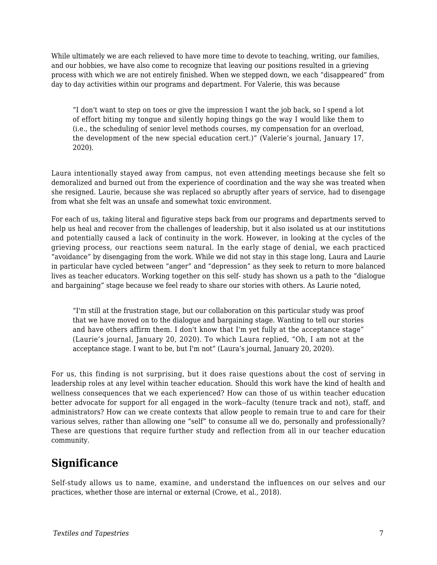While ultimately we are each relieved to have more time to devote to teaching, writing, our families, and our hobbies, we have also come to recognize that leaving our positions resulted in a grieving process with which we are not entirely finished. When we stepped down, we each "disappeared" from day to day activities within our programs and department. For Valerie, this was because

"I don't want to step on toes or give the impression I want the job back, so I spend a lot of effort biting my tongue and silently hoping things go the way I would like them to (i.e., the scheduling of senior level methods courses, my compensation for an overload, the development of the new special education cert.)" (Valerie's journal, January 17, 2020).

Laura intentionally stayed away from campus, not even attending meetings because she felt so demoralized and burned out from the experience of coordination and the way she was treated when she resigned. Laurie, because she was replaced so abruptly after years of service, had to disengage from what she felt was an unsafe and somewhat toxic environment.

For each of us, taking literal and figurative steps back from our programs and departments served to help us heal and recover from the challenges of leadership, but it also isolated us at our institutions and potentially caused a lack of continuity in the work. However, in looking at the cycles of the grieving process, our reactions seem natural. In the early stage of denial, we each practiced "avoidance" by disengaging from the work. While we did not stay in this stage long, Laura and Laurie in particular have cycled between "anger" and "depression" as they seek to return to more balanced lives as teacher educators. Working together on this self- study has shown us a path to the "dialogue and bargaining" stage because we feel ready to share our stories with others. As Laurie noted,

"I'm still at the frustration stage, but our collaboration on this particular study was proof that we have moved on to the dialogue and bargaining stage. Wanting to tell our stories and have others affirm them. I don't know that I'm yet fully at the acceptance stage" (Laurie's journal, January 20, 2020). To which Laura replied, "Oh, I am not at the acceptance stage. I want to be, but I'm not" (Laura's journal, January 20, 2020).

For us, this finding is not surprising, but it does raise questions about the cost of serving in leadership roles at any level within teacher education. Should this work have the kind of health and wellness consequences that we each experienced? How can those of us within teacher education better advocate for support for all engaged in the work--faculty (tenure track and not), staff, and administrators? How can we create contexts that allow people to remain true to and care for their various selves, rather than allowing one "self" to consume all we do, personally and professionally? These are questions that require further study and reflection from all in our teacher education community.

### **Significance**

Self-study allows us to name, examine, and understand the influences on our selves and our practices, whether those are internal or external (Crowe, et al., 2018).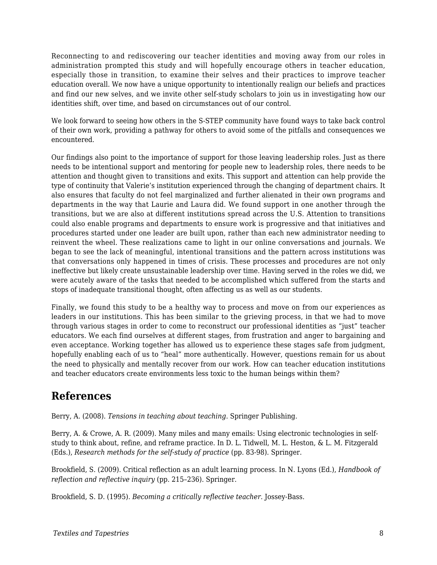Reconnecting to and rediscovering our teacher identities and moving away from our roles in administration prompted this study and will hopefully encourage others in teacher education, especially those in transition, to examine their selves and their practices to improve teacher education overall. We now have a unique opportunity to intentionally realign our beliefs and practices and find our new selves, and we invite other self-study scholars to join us in investigating how our identities shift, over time, and based on circumstances out of our control.

We look forward to seeing how others in the S-STEP community have found ways to take back control of their own work, providing a pathway for others to avoid some of the pitfalls and consequences we encountered.

Our findings also point to the importance of support for those leaving leadership roles. Just as there needs to be intentional support and mentoring for people new to leadership roles, there needs to be attention and thought given to transitions and exits. This support and attention can help provide the type of continuity that Valerie's institution experienced through the changing of department chairs. It also ensures that faculty do not feel marginalized and further alienated in their own programs and departments in the way that Laurie and Laura did. We found support in one another through the transitions, but we are also at different institutions spread across the U.S. Attention to transitions could also enable programs and departments to ensure work is progressive and that initiatives and procedures started under one leader are built upon, rather than each new administrator needing to reinvent the wheel. These realizations came to light in our online conversations and journals. We began to see the lack of meaningful, intentional transitions and the pattern across institutions was that conversations only happened in times of crisis. These processes and procedures are not only ineffective but likely create unsustainable leadership over time. Having served in the roles we did, we were acutely aware of the tasks that needed to be accomplished which suffered from the starts and stops of inadequate transitional thought, often affecting us as well as our students.

Finally, we found this study to be a healthy way to process and move on from our experiences as leaders in our institutions. This has been similar to the grieving process, in that we had to move through various stages in order to come to reconstruct our professional identities as "just" teacher educators. We each find ourselves at different stages, from frustration and anger to bargaining and even acceptance. Working together has allowed us to experience these stages safe from judgment, hopefully enabling each of us to "heal" more authentically. However, questions remain for us about the need to physically and mentally recover from our work. How can teacher education institutions and teacher educators create environments less toxic to the human beings within them?

### **References**

Berry, A. (2008). *Tensions in teaching about teaching*. Springer Publishing.

Berry, A. & Crowe, A. R. (2009). Many miles and many emails: Using electronic technologies in selfstudy to think about, refine, and reframe practice. In D. L. Tidwell, M. L. Heston, & L. M. Fitzgerald (Eds.), *Research methods for the self-study of practice* (pp. 83-98). Springer.

Brookfield, S. (2009). Critical reflection as an adult learning process. In N. Lyons (Ed.), *Handbook of reflection and reflective inquiry* (pp. 215–236). Springer.

Brookfield, S. D. (1995). *Becoming a critically reflective teacher*. Jossey-Bass.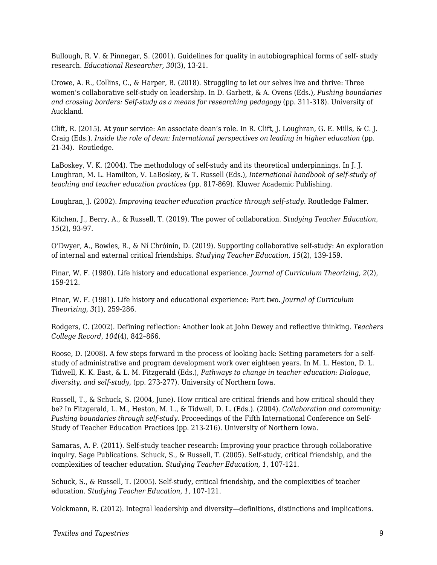Bullough, R. V. & Pinnegar, S. (2001). Guidelines for quality in autobiographical forms of self- study research. *Educational Researcher, 30*(3), 13-21.

Crowe, A. R., Collins, C., & Harper, B. (2018). Struggling to let our selves live and thrive: Three women's collaborative self-study on leadership. In D. Garbett, & A. Ovens (Eds.), *Pushing boundaries and crossing borders: Self-study as a means for researching pedagogy* (pp. 311-318). University of Auckland.

Clift, R. (2015). At your service: An associate dean's role. In R. Clift, J. Loughran, G. E. Mills, & C. J. Craig (Eds.). *Inside the role of dean: International perspectives on leading in higher education* (pp. 21-34). Routledge.

LaBoskey, V. K. (2004). The methodology of self-study and its theoretical underpinnings. In J. J. Loughran, M. L. Hamilton, V. LaBoskey, & T. Russell (Eds.), *International handbook of self-study of teaching and teacher education practices* (pp. 817-869). Kluwer Academic Publishing.

Loughran, J. (2002). *Improving teacher education practice through self-study*. Routledge Falmer.

Kitchen, J., Berry, A., & Russell, T. (2019). The power of collaboration. *Studying Teacher Education, 15*(2), 93-97.

O'Dwyer, A., Bowles, R., & Ní Chróinín, D. (2019). Supporting collaborative self-study: An exploration of internal and external critical friendships. *Studying Teacher Education, 15*(2), 139-159.

Pinar, W. F. (1980). Life history and educational experience. *Journal of Curriculum Theorizing, 2*(2), 159-212.

Pinar, W. F. (1981). Life history and educational experience: Part two. *Journal of Curriculum Theorizing, 3*(1), 259-286.

Rodgers, C. (2002). Defining reflection: Another look at John Dewey and reflective thinking. *Teachers College Record*, *104*(4), 842–866.

Roose, D. (2008). A few steps forward in the process of looking back: Setting parameters for a selfstudy of administrative and program development work over eighteen years. In M. L. Heston, D. L. Tidwell, K. K. East, & L. M. Fitzgerald (Eds.), *Pathways to change in teacher education: Dialogue, diversity, and self-study,* (pp. 273-277). University of Northern Iowa.

Russell, T., & Schuck, S. (2004, June). How critical are critical friends and how critical should they be? In Fitzgerald, L. M., Heston, M. L., & Tidwell, D. L. (Eds.). (2004). *Collaboration and community: Pushing boundaries through self-study*. Proceedings of the Fifth International Conference on Self-Study of Teacher Education Practices (pp. 213-216). University of Northern Iowa.

Samaras, A. P. (2011). Self-study teacher research: Improving your practice through collaborative inquiry. Sage Publications. Schuck, S., & Russell, T. (2005). Self-study, critical friendship, and the complexities of teacher education. *Studying Teacher Education, 1*, 107-121.

Schuck, S., & Russell, T. (2005). Self-study, critical friendship, and the complexities of teacher education. *Studying Teacher Education, 1*, 107-121.

Volckmann, R. (2012). Integral leadership and diversity—definitions, distinctions and implications*.*